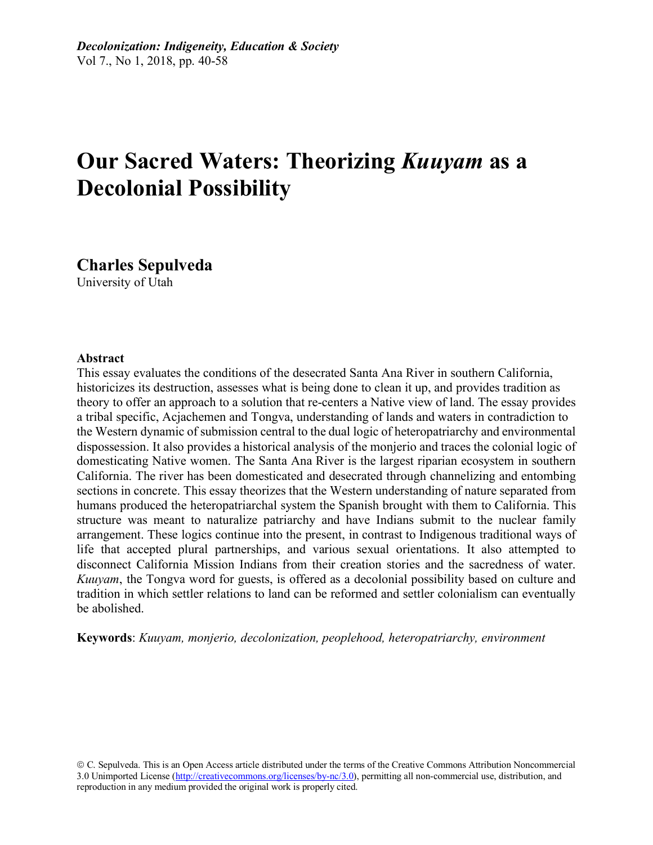# **Our Sacred Waters: Theorizing** *Kuuyam* **as a Decolonial Possibility**

**Charles Sepulveda** University of Utah

#### **Abstract**

This essay evaluates the conditions of the desecrated Santa Ana River in southern California, historicizes its destruction, assesses what is being done to clean it up, and provides tradition as theory to offer an approach to a solution that re-centers a Native view of land. The essay provides a tribal specific, Acjachemen and Tongva, understanding of lands and waters in contradiction to the Western dynamic of submission central to the dual logic of heteropatriarchy and environmental dispossession. It also provides a historical analysis of the monjerio and traces the colonial logic of domesticating Native women. The Santa Ana River is the largest riparian ecosystem in southern California. The river has been domesticated and desecrated through channelizing and entombing sections in concrete. This essay theorizes that the Western understanding of nature separated from humans produced the heteropatriarchal system the Spanish brought with them to California. This structure was meant to naturalize patriarchy and have Indians submit to the nuclear family arrangement. These logics continue into the present, in contrast to Indigenous traditional ways of life that accepted plural partnerships, and various sexual orientations. It also attempted to disconnect California Mission Indians from their creation stories and the sacredness of water. *Kuuyam*, the Tongva word for guests, is offered as a decolonial possibility based on culture and tradition in which settler relations to land can be reformed and settler colonialism can eventually be abolished.

**Keywords**: *Kuuyam, monjerio, decolonization, peoplehood, heteropatriarchy, environment*

ã C. Sepulveda. This is an Open Access article distributed under the terms of the Creative Commons Attribution Noncommercial 3.0 Unimported License (http://creativecommons.org/licenses/by-nc/3.0), permitting all non-commercial use, distribution, and reproduction in any medium provided the original work is properly cited.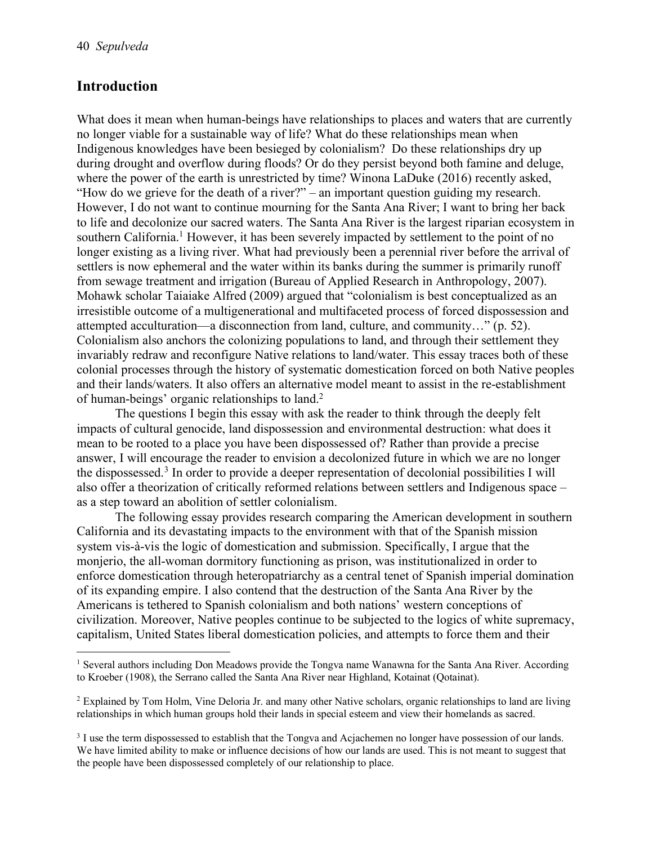#### **Introduction**

What does it mean when human-beings have relationships to places and waters that are currently no longer viable for a sustainable way of life? What do these relationships mean when Indigenous knowledges have been besieged by colonialism? Do these relationships dry up during drought and overflow during floods? Or do they persist beyond both famine and deluge, where the power of the earth is unrestricted by time? Winona LaDuke (2016) recently asked, "How do we grieve for the death of a river?" – an important question guiding my research. However, I do not want to continue mourning for the Santa Ana River; I want to bring her back to life and decolonize our sacred waters. The Santa Ana River is the largest riparian ecosystem in southern California.<sup>1</sup> However, it has been severely impacted by settlement to the point of no longer existing as a living river. What had previously been a perennial river before the arrival of settlers is now ephemeral and the water within its banks during the summer is primarily runoff from sewage treatment and irrigation (Bureau of Applied Research in Anthropology, 2007). Mohawk scholar Taiaiake Alfred (2009) argued that "colonialism is best conceptualized as an irresistible outcome of a multigenerational and multifaceted process of forced dispossession and attempted acculturation—a disconnection from land, culture, and community…" (p. 52). Colonialism also anchors the colonizing populations to land, and through their settlement they invariably redraw and reconfigure Native relations to land/water. This essay traces both of these colonial processes through the history of systematic domestication forced on both Native peoples and their lands/waters. It also offers an alternative model meant to assist in the re-establishment of human-beings' organic relationships to land. 2

The questions I begin this essay with ask the reader to think through the deeply felt impacts of cultural genocide, land dispossession and environmental destruction: what does it mean to be rooted to a place you have been dispossessed of? Rather than provide a precise answer, I will encourage the reader to envision a decolonized future in which we are no longer the dispossessed.3 In order to provide a deeper representation of decolonial possibilities I will also offer a theorization of critically reformed relations between settlers and Indigenous space – as a step toward an abolition of settler colonialism.

The following essay provides research comparing the American development in southern California and its devastating impacts to the environment with that of the Spanish mission system vis-à-vis the logic of domestication and submission. Specifically, I argue that the monjerio, the all-woman dormitory functioning as prison, was institutionalized in order to enforce domestication through heteropatriarchy as a central tenet of Spanish imperial domination of its expanding empire. I also contend that the destruction of the Santa Ana River by the Americans is tethered to Spanish colonialism and both nations' western conceptions of civilization. Moreover, Native peoples continue to be subjected to the logics of white supremacy, capitalism, United States liberal domestication policies, and attempts to force them and their

 <sup>1</sup> Several authors including Don Meadows provide the Tongva name Wanawna for the Santa Ana River. According to Kroeber (1908), the Serrano called the Santa Ana River near Highland, Kotainat (Qotainat).

<sup>&</sup>lt;sup>2</sup> Explained by Tom Holm, Vine Deloria Jr. and many other Native scholars, organic relationships to land are living relationships in which human groups hold their lands in special esteem and view their homelands as sacred.

<sup>&</sup>lt;sup>3</sup> I use the term dispossessed to establish that the Tongva and Acjachemen no longer have possession of our lands. We have limited ability to make or influence decisions of how our lands are used. This is not meant to suggest that the people have been dispossessed completely of our relationship to place.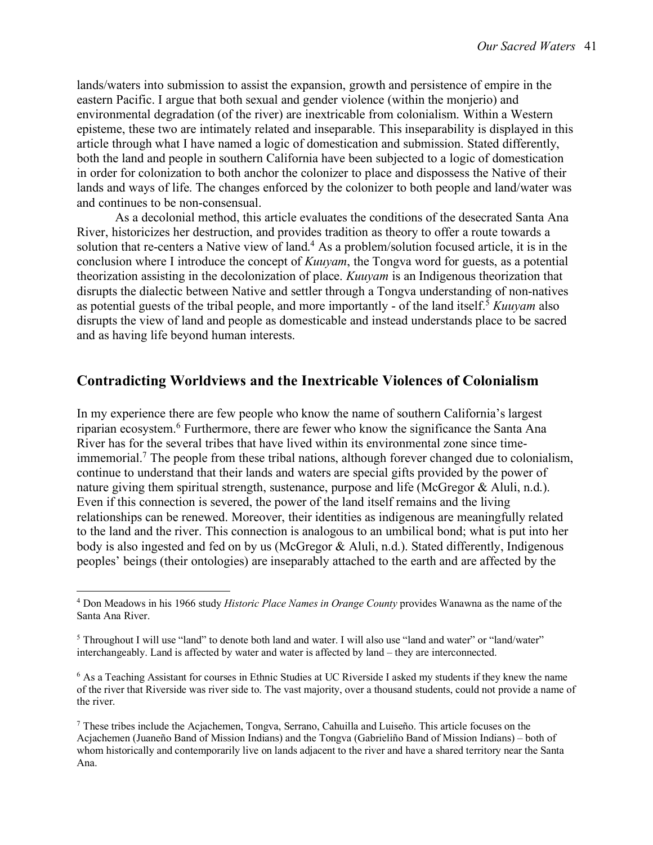lands/waters into submission to assist the expansion, growth and persistence of empire in the eastern Pacific. I argue that both sexual and gender violence (within the monjerio) and environmental degradation (of the river) are inextricable from colonialism. Within a Western episteme, these two are intimately related and inseparable. This inseparability is displayed in this article through what I have named a logic of domestication and submission. Stated differently, both the land and people in southern California have been subjected to a logic of domestication in order for colonization to both anchor the colonizer to place and dispossess the Native of their lands and ways of life. The changes enforced by the colonizer to both people and land/water was and continues to be non-consensual.

As a decolonial method, this article evaluates the conditions of the desecrated Santa Ana River, historicizes her destruction, and provides tradition as theory to offer a route towards a solution that re-centers a Native view of land.<sup>4</sup> As a problem/solution focused article, it is in the conclusion where I introduce the concept of *Kuuyam*, the Tongva word for guests, as a potential theorization assisting in the decolonization of place. *Kuuyam* is an Indigenous theorization that disrupts the dialectic between Native and settler through a Tongva understanding of non-natives as potential guests of the tribal people, and more importantly - of the land itself. <sup>5</sup> *Kuuyam* also disrupts the view of land and people as domesticable and instead understands place to be sacred and as having life beyond human interests.

### **Contradicting Worldviews and the Inextricable Violences of Colonialism**

In my experience there are few people who know the name of southern California's largest riparian ecosystem.6 Furthermore, there are fewer who know the significance the Santa Ana River has for the several tribes that have lived within its environmental zone since timeimmemorial.<sup>7</sup> The people from these tribal nations, although forever changed due to colonialism, continue to understand that their lands and waters are special gifts provided by the power of nature giving them spiritual strength, sustenance, purpose and life (McGregor & Aluli, n.d.). Even if this connection is severed, the power of the land itself remains and the living relationships can be renewed. Moreover, their identities as indigenous are meaningfully related to the land and the river. This connection is analogous to an umbilical bond; what is put into her body is also ingested and fed on by us (McGregor & Aluli, n.d.). Stated differently, Indigenous peoples' beings (their ontologies) are inseparably attached to the earth and are affected by the

 <sup>4</sup> Don Meadows in his 1966 study *Historic Place Names in Orange County* provides Wanawna as the name of the Santa Ana River.

<sup>&</sup>lt;sup>5</sup> Throughout I will use "land" to denote both land and water. I will also use "land and water" or "land/water" interchangeably. Land is affected by water and water is affected by land – they are interconnected.

<sup>6</sup> As a Teaching Assistant for courses in Ethnic Studies at UC Riverside I asked my students if they knew the name of the river that Riverside was river side to. The vast majority, over a thousand students, could not provide a name of the river.

<sup>7</sup> These tribes include the Acjachemen, Tongva, Serrano, Cahuilla and Luiseño. This article focuses on the Acjachemen (Juaneño Band of Mission Indians) and the Tongva (Gabrieliño Band of Mission Indians) – both of whom historically and contemporarily live on lands adjacent to the river and have a shared territory near the Santa Ana.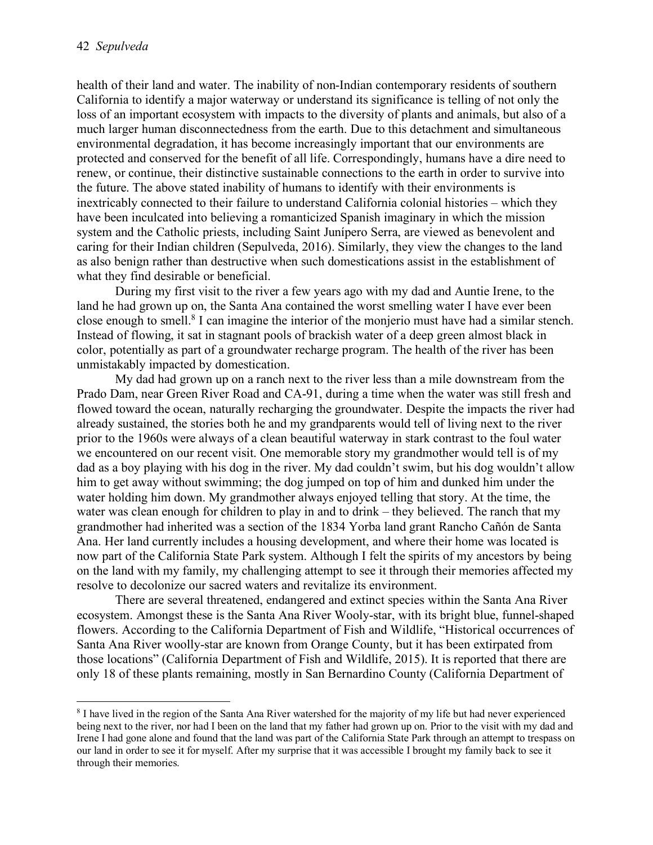health of their land and water. The inability of non-Indian contemporary residents of southern California to identify a major waterway or understand its significance is telling of not only the loss of an important ecosystem with impacts to the diversity of plants and animals, but also of a much larger human disconnectedness from the earth. Due to this detachment and simultaneous environmental degradation, it has become increasingly important that our environments are protected and conserved for the benefit of all life. Correspondingly, humans have a dire need to renew, or continue, their distinctive sustainable connections to the earth in order to survive into the future. The above stated inability of humans to identify with their environments is inextricably connected to their failure to understand California colonial histories – which they have been inculcated into believing a romanticized Spanish imaginary in which the mission system and the Catholic priests, including Saint Junípero Serra, are viewed as benevolent and caring for their Indian children (Sepulveda, 2016). Similarly, they view the changes to the land as also benign rather than destructive when such domestications assist in the establishment of what they find desirable or beneficial.

During my first visit to the river a few years ago with my dad and Auntie Irene, to the land he had grown up on, the Santa Ana contained the worst smelling water I have ever been close enough to smell.8 I can imagine the interior of the monjerio must have had a similar stench. Instead of flowing, it sat in stagnant pools of brackish water of a deep green almost black in color, potentially as part of a groundwater recharge program. The health of the river has been unmistakably impacted by domestication.

My dad had grown up on a ranch next to the river less than a mile downstream from the Prado Dam, near Green River Road and CA-91, during a time when the water was still fresh and flowed toward the ocean, naturally recharging the groundwater. Despite the impacts the river had already sustained, the stories both he and my grandparents would tell of living next to the river prior to the 1960s were always of a clean beautiful waterway in stark contrast to the foul water we encountered on our recent visit. One memorable story my grandmother would tell is of my dad as a boy playing with his dog in the river. My dad couldn't swim, but his dog wouldn't allow him to get away without swimming; the dog jumped on top of him and dunked him under the water holding him down. My grandmother always enjoyed telling that story. At the time, the water was clean enough for children to play in and to drink – they believed. The ranch that my grandmother had inherited was a section of the 1834 Yorba land grant Rancho Cañón de Santa Ana. Her land currently includes a housing development, and where their home was located is now part of the California State Park system. Although I felt the spirits of my ancestors by being on the land with my family, my challenging attempt to see it through their memories affected my resolve to decolonize our sacred waters and revitalize its environment.

There are several threatened, endangered and extinct species within the Santa Ana River ecosystem. Amongst these is the Santa Ana River Wooly-star, with its bright blue, funnel-shaped flowers. According to the California Department of Fish and Wildlife, "Historical occurrences of Santa Ana River woolly-star are known from Orange County, but it has been extirpated from those locations" (California Department of Fish and Wildlife, 2015). It is reported that there are only 18 of these plants remaining, mostly in San Bernardino County (California Department of

 <sup>8</sup> I have lived in the region of the Santa Ana River watershed for the majority of my life but had never experienced being next to the river, nor had I been on the land that my father had grown up on. Prior to the visit with my dad and Irene I had gone alone and found that the land was part of the California State Park through an attempt to trespass on our land in order to see it for myself. After my surprise that it was accessible I brought my family back to see it through their memories.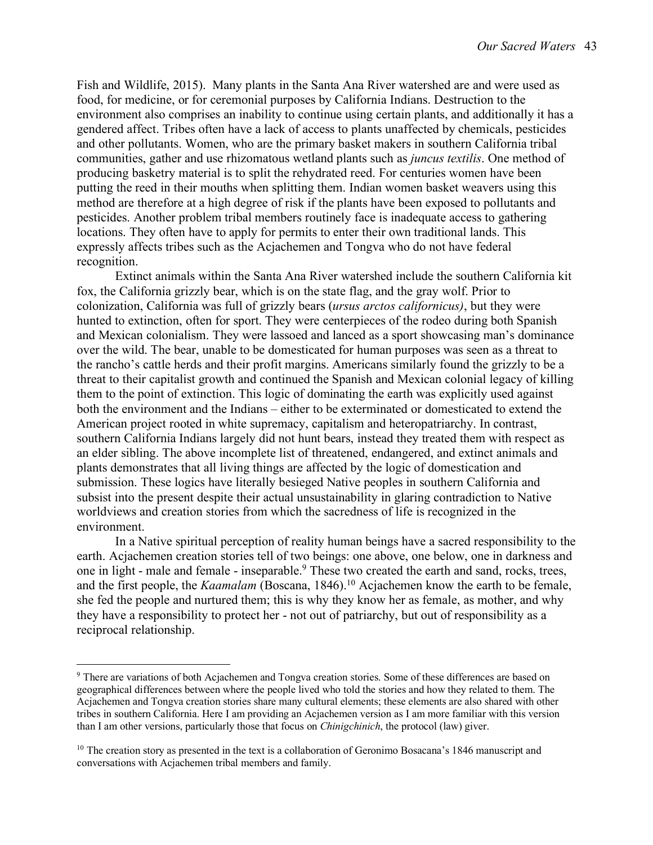Fish and Wildlife, 2015). Many plants in the Santa Ana River watershed are and were used as food, for medicine, or for ceremonial purposes by California Indians. Destruction to the environment also comprises an inability to continue using certain plants, and additionally it has a gendered affect. Tribes often have a lack of access to plants unaffected by chemicals, pesticides and other pollutants. Women, who are the primary basket makers in southern California tribal communities, gather and use rhizomatous wetland plants such as *juncus textilis*. One method of producing basketry material is to split the rehydrated reed. For centuries women have been putting the reed in their mouths when splitting them. Indian women basket weavers using this method are therefore at a high degree of risk if the plants have been exposed to pollutants and pesticides. Another problem tribal members routinely face is inadequate access to gathering locations. They often have to apply for permits to enter their own traditional lands. This expressly affects tribes such as the Acjachemen and Tongva who do not have federal recognition.

Extinct animals within the Santa Ana River watershed include the southern California kit fox, the California grizzly bear, which is on the state flag, and the gray wolf. Prior to colonization, California was full of grizzly bears (*ursus arctos californicus)*, but they were hunted to extinction, often for sport. They were centerpieces of the rodeo during both Spanish and Mexican colonialism. They were lassoed and lanced as a sport showcasing man's dominance over the wild. The bear, unable to be domesticated for human purposes was seen as a threat to the rancho's cattle herds and their profit margins. Americans similarly found the grizzly to be a threat to their capitalist growth and continued the Spanish and Mexican colonial legacy of killing them to the point of extinction. This logic of dominating the earth was explicitly used against both the environment and the Indians – either to be exterminated or domesticated to extend the American project rooted in white supremacy, capitalism and heteropatriarchy. In contrast, southern California Indians largely did not hunt bears, instead they treated them with respect as an elder sibling. The above incomplete list of threatened, endangered, and extinct animals and plants demonstrates that all living things are affected by the logic of domestication and submission. These logics have literally besieged Native peoples in southern California and subsist into the present despite their actual unsustainability in glaring contradiction to Native worldviews and creation stories from which the sacredness of life is recognized in the environment.

In a Native spiritual perception of reality human beings have a sacred responsibility to the earth. Acjachemen creation stories tell of two beings: one above, one below, one in darkness and one in light - male and female - inseparable.<sup>9</sup> These two created the earth and sand, rocks, trees, and the first people, the *Kaamalam* (Boscana, 1846).<sup>10</sup> Acjachemen know the earth to be female, she fed the people and nurtured them; this is why they know her as female, as mother, and why they have a responsibility to protect her - not out of patriarchy, but out of responsibility as a reciprocal relationship.

 <sup>9</sup> There are variations of both Acjachemen and Tongva creation stories. Some of these differences are based on geographical differences between where the people lived who told the stories and how they related to them. The Acjachemen and Tongva creation stories share many cultural elements; these elements are also shared with other tribes in southern California. Here I am providing an Acjachemen version as I am more familiar with this version than I am other versions, particularly those that focus on *Chinigchinich*, the protocol (law) giver.

<sup>&</sup>lt;sup>10</sup> The creation story as presented in the text is a collaboration of Geronimo Bosacana's 1846 manuscript and conversations with Acjachemen tribal members and family.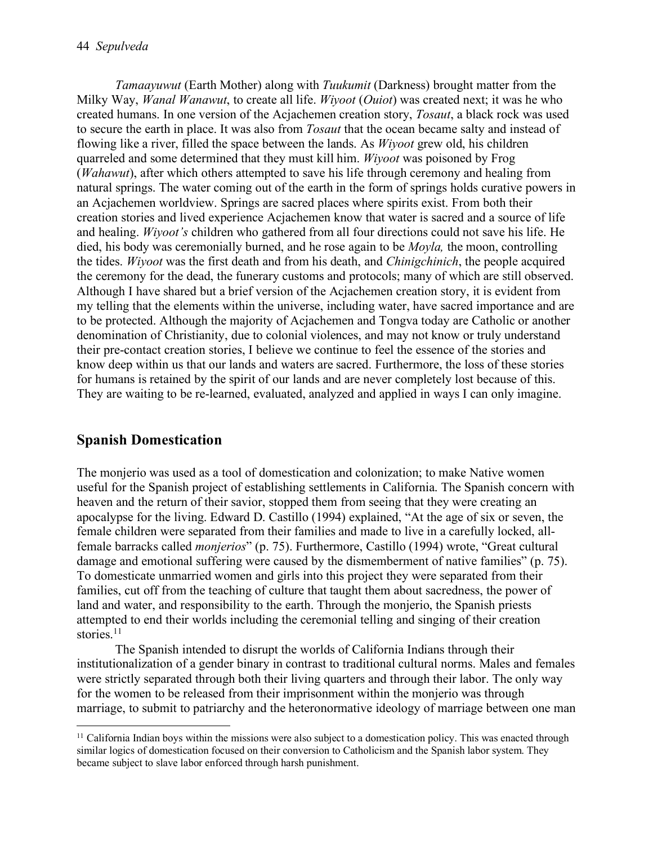*Tamaayuwut* (Earth Mother) along with *Tuukumit* (Darkness) brought matter from the Milky Way, *Wanal Wanawut*, to create all life. *Wiyoot* (*Ouiot*) was created next; it was he who created humans. In one version of the Acjachemen creation story, *Tosaut*, a black rock was used to secure the earth in place. It was also from *Tosaut* that the ocean became salty and instead of flowing like a river, filled the space between the lands. As *Wiyoot* grew old, his children quarreled and some determined that they must kill him. *Wiyoot* was poisoned by Frog (*Wahawut*), after which others attempted to save his life through ceremony and healing from natural springs. The water coming out of the earth in the form of springs holds curative powers in an Acjachemen worldview. Springs are sacred places where spirits exist. From both their creation stories and lived experience Acjachemen know that water is sacred and a source of life and healing. *Wiyoot's* children who gathered from all four directions could not save his life. He died, his body was ceremonially burned, and he rose again to be *Moyla,* the moon, controlling the tides. *Wiyoot* was the first death and from his death, and *Chinigchinich*, the people acquired the ceremony for the dead, the funerary customs and protocols; many of which are still observed. Although I have shared but a brief version of the Acjachemen creation story, it is evident from my telling that the elements within the universe, including water, have sacred importance and are to be protected. Although the majority of Acjachemen and Tongva today are Catholic or another denomination of Christianity, due to colonial violences, and may not know or truly understand their pre-contact creation stories, I believe we continue to feel the essence of the stories and know deep within us that our lands and waters are sacred. Furthermore, the loss of these stories for humans is retained by the spirit of our lands and are never completely lost because of this. They are waiting to be re-learned, evaluated, analyzed and applied in ways I can only imagine.

### **Spanish Domestication**

The monjerio was used as a tool of domestication and colonization; to make Native women useful for the Spanish project of establishing settlements in California. The Spanish concern with heaven and the return of their savior, stopped them from seeing that they were creating an apocalypse for the living. Edward D. Castillo (1994) explained, "At the age of six or seven, the female children were separated from their families and made to live in a carefully locked, allfemale barracks called *monjerios*" (p. 75). Furthermore, Castillo (1994) wrote, "Great cultural damage and emotional suffering were caused by the dismemberment of native families" (p. 75). To domesticate unmarried women and girls into this project they were separated from their families, cut off from the teaching of culture that taught them about sacredness, the power of land and water, and responsibility to the earth. Through the monjerio, the Spanish priests attempted to end their worlds including the ceremonial telling and singing of their creation stories.<sup>11</sup>

The Spanish intended to disrupt the worlds of California Indians through their institutionalization of a gender binary in contrast to traditional cultural norms. Males and females were strictly separated through both their living quarters and through their labor. The only way for the women to be released from their imprisonment within the monjerio was through marriage, to submit to patriarchy and the heteronormative ideology of marriage between one man

<sup>&</sup>lt;sup>11</sup> California Indian boys within the missions were also subject to a domestication policy. This was enacted through similar logics of domestication focused on their conversion to Catholicism and the Spanish labor system. They became subject to slave labor enforced through harsh punishment.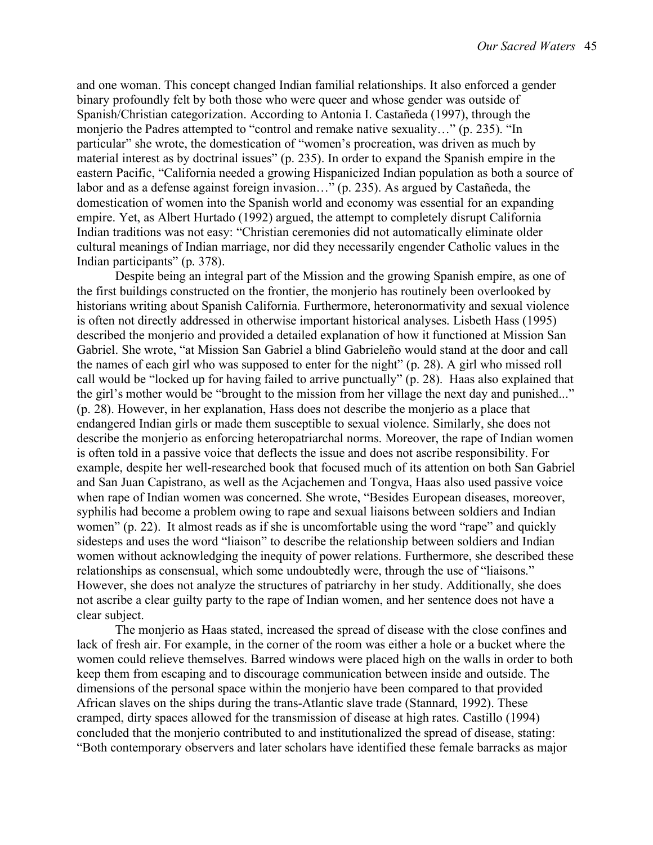and one woman. This concept changed Indian familial relationships. It also enforced a gender binary profoundly felt by both those who were queer and whose gender was outside of Spanish/Christian categorization. According to Antonia I. Castañeda (1997), through the monjerio the Padres attempted to "control and remake native sexuality…" (p. 235). "In particular" she wrote, the domestication of "women's procreation, was driven as much by material interest as by doctrinal issues" (p. 235). In order to expand the Spanish empire in the eastern Pacific, "California needed a growing Hispanicized Indian population as both a source of labor and as a defense against foreign invasion…" (p. 235). As argued by Castañeda, the domestication of women into the Spanish world and economy was essential for an expanding empire. Yet, as Albert Hurtado (1992) argued, the attempt to completely disrupt California Indian traditions was not easy: "Christian ceremonies did not automatically eliminate older cultural meanings of Indian marriage, nor did they necessarily engender Catholic values in the Indian participants" (p. 378).

Despite being an integral part of the Mission and the growing Spanish empire, as one of the first buildings constructed on the frontier, the monjerio has routinely been overlooked by historians writing about Spanish California. Furthermore, heteronormativity and sexual violence is often not directly addressed in otherwise important historical analyses. Lisbeth Hass (1995) described the monjerio and provided a detailed explanation of how it functioned at Mission San Gabriel. She wrote, "at Mission San Gabriel a blind Gabrieleño would stand at the door and call the names of each girl who was supposed to enter for the night" (p. 28). A girl who missed roll call would be "locked up for having failed to arrive punctually" (p. 28). Haas also explained that the girl's mother would be "brought to the mission from her village the next day and punished..." (p. 28). However, in her explanation, Hass does not describe the monjerio as a place that endangered Indian girls or made them susceptible to sexual violence. Similarly, she does not describe the monjerio as enforcing heteropatriarchal norms. Moreover, the rape of Indian women is often told in a passive voice that deflects the issue and does not ascribe responsibility. For example, despite her well-researched book that focused much of its attention on both San Gabriel and San Juan Capistrano, as well as the Acjachemen and Tongva, Haas also used passive voice when rape of Indian women was concerned. She wrote, "Besides European diseases, moreover, syphilis had become a problem owing to rape and sexual liaisons between soldiers and Indian women" (p. 22). It almost reads as if she is uncomfortable using the word "rape" and quickly sidesteps and uses the word "liaison" to describe the relationship between soldiers and Indian women without acknowledging the inequity of power relations. Furthermore, she described these relationships as consensual, which some undoubtedly were, through the use of "liaisons." However, she does not analyze the structures of patriarchy in her study. Additionally, she does not ascribe a clear guilty party to the rape of Indian women, and her sentence does not have a clear subject.

The monjerio as Haas stated, increased the spread of disease with the close confines and lack of fresh air. For example, in the corner of the room was either a hole or a bucket where the women could relieve themselves. Barred windows were placed high on the walls in order to both keep them from escaping and to discourage communication between inside and outside. The dimensions of the personal space within the monjerio have been compared to that provided African slaves on the ships during the trans-Atlantic slave trade (Stannard, 1992). These cramped, dirty spaces allowed for the transmission of disease at high rates. Castillo (1994) concluded that the monjerio contributed to and institutionalized the spread of disease, stating: "Both contemporary observers and later scholars have identified these female barracks as major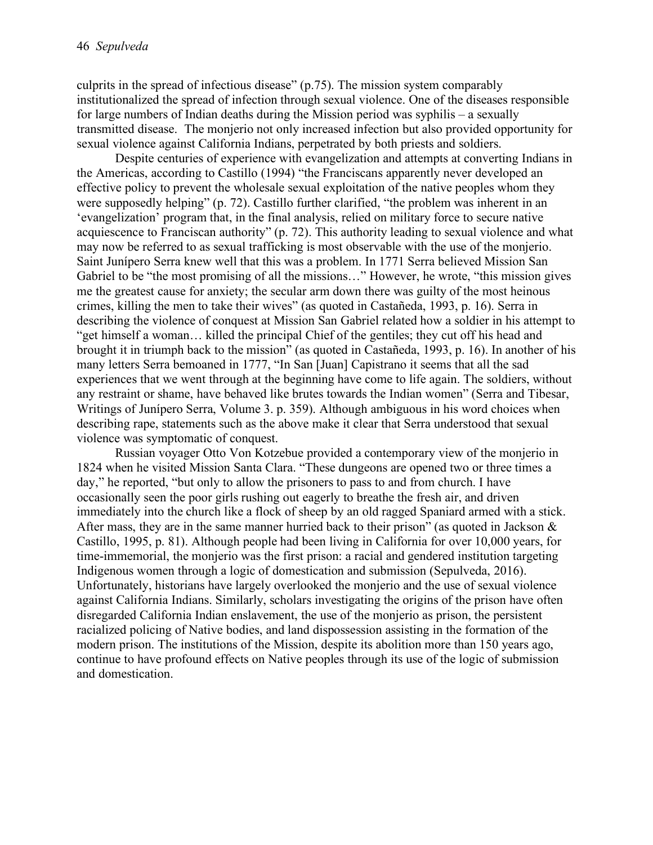culprits in the spread of infectious disease" (p.75). The mission system comparably institutionalized the spread of infection through sexual violence. One of the diseases responsible for large numbers of Indian deaths during the Mission period was syphilis – a sexually transmitted disease. The monjerio not only increased infection but also provided opportunity for sexual violence against California Indians, perpetrated by both priests and soldiers.

Despite centuries of experience with evangelization and attempts at converting Indians in the Americas, according to Castillo (1994) "the Franciscans apparently never developed an effective policy to prevent the wholesale sexual exploitation of the native peoples whom they were supposedly helping" (p. 72). Castillo further clarified, "the problem was inherent in an 'evangelization' program that, in the final analysis, relied on military force to secure native acquiescence to Franciscan authority" (p. 72). This authority leading to sexual violence and what may now be referred to as sexual trafficking is most observable with the use of the monjerio. Saint Junípero Serra knew well that this was a problem. In 1771 Serra believed Mission San Gabriel to be "the most promising of all the missions…" However, he wrote, "this mission gives me the greatest cause for anxiety; the secular arm down there was guilty of the most heinous crimes, killing the men to take their wives" (as quoted in Castañeda, 1993, p. 16). Serra in describing the violence of conquest at Mission San Gabriel related how a soldier in his attempt to "get himself a woman… killed the principal Chief of the gentiles; they cut off his head and brought it in triumph back to the mission" (as quoted in Castañeda, 1993, p. 16). In another of his many letters Serra bemoaned in 1777, "In San [Juan] Capistrano it seems that all the sad experiences that we went through at the beginning have come to life again. The soldiers, without any restraint or shame, have behaved like brutes towards the Indian women" (Serra and Tibesar, Writings of Junípero Serra, Volume 3. p. 359). Although ambiguous in his word choices when describing rape, statements such as the above make it clear that Serra understood that sexual violence was symptomatic of conquest.

Russian voyager Otto Von Kotzebue provided a contemporary view of the monjerio in 1824 when he visited Mission Santa Clara. "These dungeons are opened two or three times a day," he reported, "but only to allow the prisoners to pass to and from church. I have occasionally seen the poor girls rushing out eagerly to breathe the fresh air, and driven immediately into the church like a flock of sheep by an old ragged Spaniard armed with a stick. After mass, they are in the same manner hurried back to their prison" (as quoted in Jackson  $\&$ Castillo, 1995, p. 81). Although people had been living in California for over 10,000 years, for time-immemorial, the monjerio was the first prison: a racial and gendered institution targeting Indigenous women through a logic of domestication and submission (Sepulveda, 2016). Unfortunately, historians have largely overlooked the monjerio and the use of sexual violence against California Indians. Similarly, scholars investigating the origins of the prison have often disregarded California Indian enslavement, the use of the monjerio as prison, the persistent racialized policing of Native bodies, and land dispossession assisting in the formation of the modern prison. The institutions of the Mission, despite its abolition more than 150 years ago, continue to have profound effects on Native peoples through its use of the logic of submission and domestication.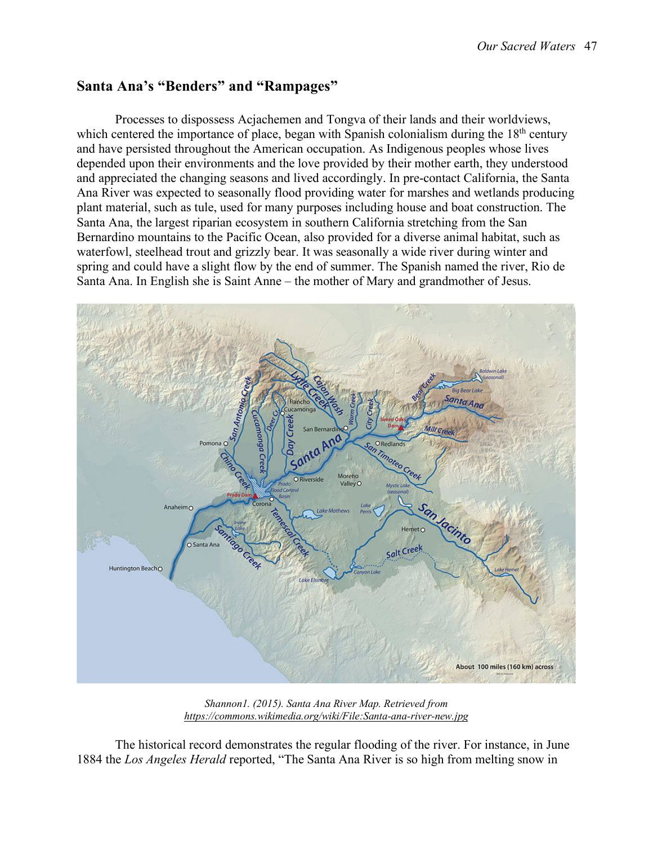#### **Santa Ana's "Benders" and "Rampages"**

Processes to dispossess Acjachemen and Tongva of their lands and their worldviews, which centered the importance of place, began with Spanish colonialism during the  $18<sup>th</sup>$  century and have persisted throughout the American occupation. As Indigenous peoples whose lives depended upon their environments and the love provided by their mother earth, they understood and appreciated the changing seasons and lived accordingly. In pre-contact California, the Santa Ana River was expected to seasonally flood providing water for marshes and wetlands producing plant material, such as tule, used for many purposes including house and boat construction. The Santa Ana, the largest riparian ecosystem in southern California stretching from the San Bernardino mountains to the Pacific Ocean, also provided for a diverse animal habitat, such as waterfowl, steelhead trout and grizzly bear. It was seasonally a wide river during winter and spring and could have a slight flow by the end of summer. The Spanish named the river, Rio de Santa Ana. In English she is Saint Anne – the mother of Mary and grandmother of Jesus.



*Shannon1. (2015). Santa Ana River Map. Retrieved from https://commons.wikimedia.org/wiki/File:Santa-ana-river-new.jpg*

The historical record demonstrates the regular flooding of the river. For instance, in June 1884 the *Los Angeles Herald* reported, "The Santa Ana River is so high from melting snow in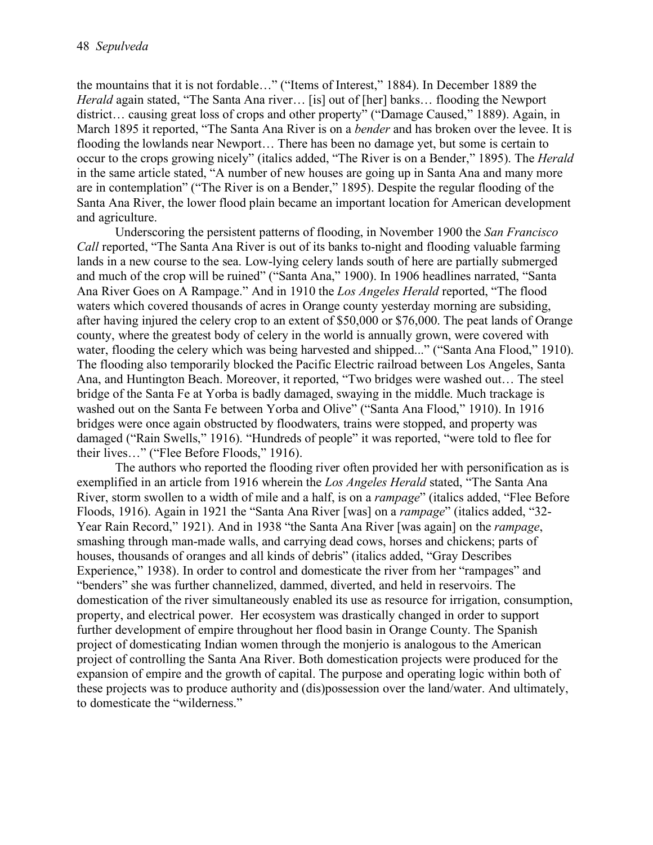the mountains that it is not fordable…" ("Items of Interest," 1884). In December 1889 the *Herald* again stated, "The Santa Ana river… [is] out of [her] banks… flooding the Newport district… causing great loss of crops and other property" ("Damage Caused," 1889). Again, in March 1895 it reported, "The Santa Ana River is on a *bender* and has broken over the levee. It is flooding the lowlands near Newport… There has been no damage yet, but some is certain to occur to the crops growing nicely" (italics added, "The River is on a Bender," 1895). The *Herald* in the same article stated, "A number of new houses are going up in Santa Ana and many more are in contemplation" ("The River is on a Bender," 1895). Despite the regular flooding of the Santa Ana River, the lower flood plain became an important location for American development and agriculture.

Underscoring the persistent patterns of flooding, in November 1900 the *San Francisco Call* reported, "The Santa Ana River is out of its banks to-night and flooding valuable farming lands in a new course to the sea. Low-lying celery lands south of here are partially submerged and much of the crop will be ruined" ("Santa Ana," 1900). In 1906 headlines narrated, "Santa Ana River Goes on A Rampage." And in 1910 the *Los Angeles Herald* reported, "The flood waters which covered thousands of acres in Orange county yesterday morning are subsiding, after having injured the celery crop to an extent of \$50,000 or \$76,000. The peat lands of Orange county, where the greatest body of celery in the world is annually grown, were covered with water, flooding the celery which was being harvested and shipped..." ("Santa Ana Flood," 1910). The flooding also temporarily blocked the Pacific Electric railroad between Los Angeles, Santa Ana, and Huntington Beach. Moreover, it reported, "Two bridges were washed out… The steel bridge of the Santa Fe at Yorba is badly damaged, swaying in the middle. Much trackage is washed out on the Santa Fe between Yorba and Olive" ("Santa Ana Flood," 1910). In 1916 bridges were once again obstructed by floodwaters, trains were stopped, and property was damaged ("Rain Swells," 1916). "Hundreds of people" it was reported, "were told to flee for their lives…" ("Flee Before Floods," 1916).

The authors who reported the flooding river often provided her with personification as is exemplified in an article from 1916 wherein the *Los Angeles Herald* stated, "The Santa Ana River, storm swollen to a width of mile and a half, is on a *rampage*" (italics added, "Flee Before Floods, 1916). Again in 1921 the "Santa Ana River [was] on a *rampage*" (italics added, "32- Year Rain Record," 1921). And in 1938 "the Santa Ana River [was again] on the *rampage*, smashing through man-made walls, and carrying dead cows, horses and chickens; parts of houses, thousands of oranges and all kinds of debris" (italics added, "Gray Describes Experience," 1938). In order to control and domesticate the river from her "rampages" and "benders" she was further channelized, dammed, diverted, and held in reservoirs. The domestication of the river simultaneously enabled its use as resource for irrigation, consumption, property, and electrical power. Her ecosystem was drastically changed in order to support further development of empire throughout her flood basin in Orange County. The Spanish project of domesticating Indian women through the monjerio is analogous to the American project of controlling the Santa Ana River. Both domestication projects were produced for the expansion of empire and the growth of capital. The purpose and operating logic within both of these projects was to produce authority and (dis)possession over the land/water. And ultimately, to domesticate the "wilderness."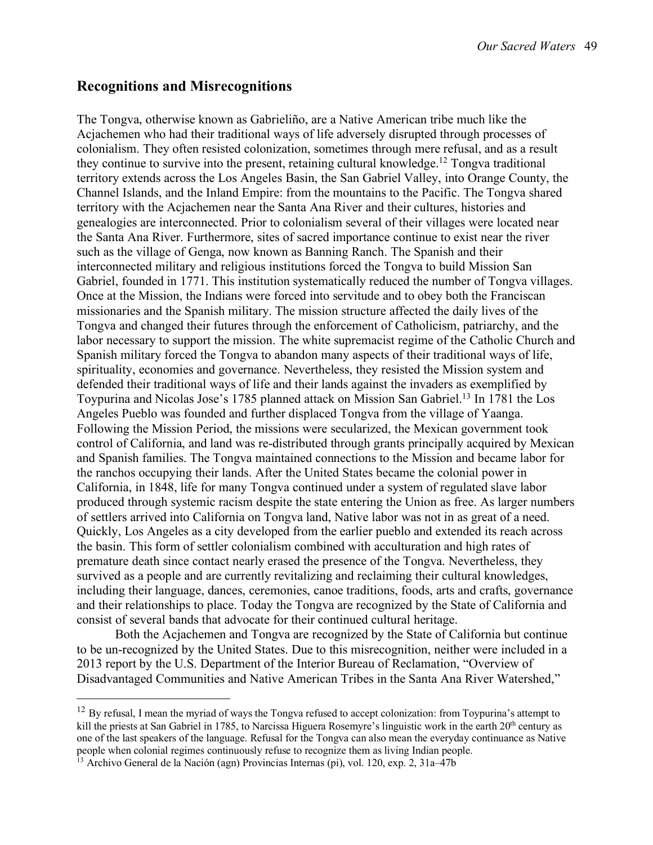#### **Recognitions and Misrecognitions**

The Tongva, otherwise known as Gabrieliño, are a Native American tribe much like the Acjachemen who had their traditional ways of life adversely disrupted through processes of colonialism. They often resisted colonization, sometimes through mere refusal, and as a result they continue to survive into the present, retaining cultural knowledge.<sup>12</sup> Tongva traditional territory extends across the Los Angeles Basin, the San Gabriel Valley, into Orange County, the Channel Islands, and the Inland Empire: from the mountains to the Pacific. The Tongva shared territory with the Acjachemen near the Santa Ana River and their cultures, histories and genealogies are interconnected. Prior to colonialism several of their villages were located near the Santa Ana River. Furthermore, sites of sacred importance continue to exist near the river such as the village of Genga, now known as Banning Ranch. The Spanish and their interconnected military and religious institutions forced the Tongva to build Mission San Gabriel, founded in 1771. This institution systematically reduced the number of Tongva villages. Once at the Mission, the Indians were forced into servitude and to obey both the Franciscan missionaries and the Spanish military. The mission structure affected the daily lives of the Tongva and changed their futures through the enforcement of Catholicism, patriarchy, and the labor necessary to support the mission. The white supremacist regime of the Catholic Church and Spanish military forced the Tongva to abandon many aspects of their traditional ways of life, spirituality, economies and governance. Nevertheless, they resisted the Mission system and defended their traditional ways of life and their lands against the invaders as exemplified by Toypurina and Nicolas Jose's 1785 planned attack on Mission San Gabriel.<sup>13</sup> In 1781 the Los Angeles Pueblo was founded and further displaced Tongva from the village of Yaanga. Following the Mission Period, the missions were secularized, the Mexican government took control of California, and land was re-distributed through grants principally acquired by Mexican and Spanish families. The Tongva maintained connections to the Mission and became labor for the ranchos occupying their lands. After the United States became the colonial power in California, in 1848, life for many Tongva continued under a system of regulated slave labor produced through systemic racism despite the state entering the Union as free. As larger numbers of settlers arrived into California on Tongva land, Native labor was not in as great of a need. Quickly, Los Angeles as a city developed from the earlier pueblo and extended its reach across the basin. This form of settler colonialism combined with acculturation and high rates of premature death since contact nearly erased the presence of the Tongva. Nevertheless, they survived as a people and are currently revitalizing and reclaiming their cultural knowledges, including their language, dances, ceremonies, canoe traditions, foods, arts and crafts, governance and their relationships to place. Today the Tongva are recognized by the State of California and consist of several bands that advocate for their continued cultural heritage.

Both the Acjachemen and Tongva are recognized by the State of California but continue to be un-recognized by the United States. Due to this misrecognition, neither were included in a 2013 report by the U.S. Department of the Interior Bureau of Reclamation, "Overview of Disadvantaged Communities and Native American Tribes in the Santa Ana River Watershed,"

 $12$  By refusal, I mean the myriad of ways the Tongva refused to accept colonization: from Toypurina's attempt to kill the priests at San Gabriel in 1785, to Narcissa Higuera Rosemyre's linguistic work in the earth 20<sup>th</sup> century as one of the last speakers of the language. Refusal for the Tongva can also mean the everyday continuance as Native people when colonial regimes continuously refuse to recognize them as living Indian people.

 $^{13}$  Archivo General de la Nación (agn) Provincias Internas (pi), vol. 120, exp. 2, 31a–47b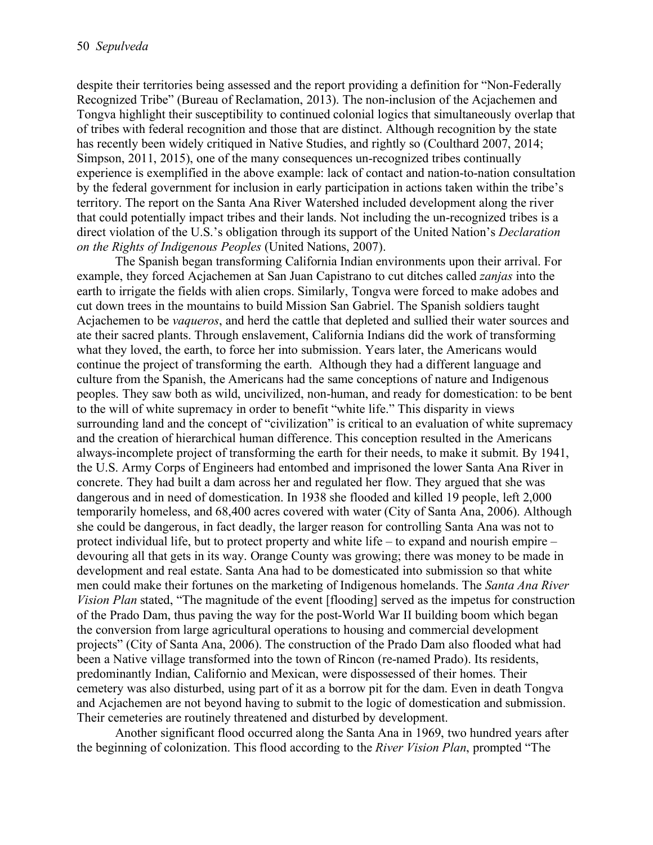despite their territories being assessed and the report providing a definition for "Non-Federally Recognized Tribe" (Bureau of Reclamation, 2013). The non-inclusion of the Acjachemen and Tongva highlight their susceptibility to continued colonial logics that simultaneously overlap that of tribes with federal recognition and those that are distinct. Although recognition by the state has recently been widely critiqued in Native Studies, and rightly so (Coulthard 2007, 2014; Simpson, 2011, 2015), one of the many consequences un-recognized tribes continually experience is exemplified in the above example: lack of contact and nation-to-nation consultation by the federal government for inclusion in early participation in actions taken within the tribe's territory. The report on the Santa Ana River Watershed included development along the river that could potentially impact tribes and their lands. Not including the un-recognized tribes is a direct violation of the U.S.'s obligation through its support of the United Nation's *Declaration on the Rights of Indigenous Peoples* (United Nations, 2007).

The Spanish began transforming California Indian environments upon their arrival. For example, they forced Acjachemen at San Juan Capistrano to cut ditches called *zanjas* into the earth to irrigate the fields with alien crops. Similarly, Tongva were forced to make adobes and cut down trees in the mountains to build Mission San Gabriel. The Spanish soldiers taught Acjachemen to be *vaqueros*, and herd the cattle that depleted and sullied their water sources and ate their sacred plants. Through enslavement, California Indians did the work of transforming what they loved, the earth, to force her into submission. Years later, the Americans would continue the project of transforming the earth. Although they had a different language and culture from the Spanish, the Americans had the same conceptions of nature and Indigenous peoples. They saw both as wild, uncivilized, non-human, and ready for domestication: to be bent to the will of white supremacy in order to benefit "white life." This disparity in views surrounding land and the concept of "civilization" is critical to an evaluation of white supremacy and the creation of hierarchical human difference. This conception resulted in the Americans always-incomplete project of transforming the earth for their needs, to make it submit. By 1941, the U.S. Army Corps of Engineers had entombed and imprisoned the lower Santa Ana River in concrete. They had built a dam across her and regulated her flow. They argued that she was dangerous and in need of domestication. In 1938 she flooded and killed 19 people, left 2,000 temporarily homeless, and 68,400 acres covered with water (City of Santa Ana, 2006). Although she could be dangerous, in fact deadly, the larger reason for controlling Santa Ana was not to protect individual life, but to protect property and white life – to expand and nourish empire – devouring all that gets in its way. Orange County was growing; there was money to be made in development and real estate. Santa Ana had to be domesticated into submission so that white men could make their fortunes on the marketing of Indigenous homelands. The *Santa Ana River Vision Plan* stated, "The magnitude of the event [flooding] served as the impetus for construction of the Prado Dam, thus paving the way for the post-World War II building boom which began the conversion from large agricultural operations to housing and commercial development projects" (City of Santa Ana, 2006). The construction of the Prado Dam also flooded what had been a Native village transformed into the town of Rincon (re-named Prado). Its residents, predominantly Indian, Californio and Mexican, were dispossessed of their homes. Their cemetery was also disturbed, using part of it as a borrow pit for the dam. Even in death Tongva and Acjachemen are not beyond having to submit to the logic of domestication and submission. Their cemeteries are routinely threatened and disturbed by development.

Another significant flood occurred along the Santa Ana in 1969, two hundred years after the beginning of colonization. This flood according to the *River Vision Plan*, prompted "The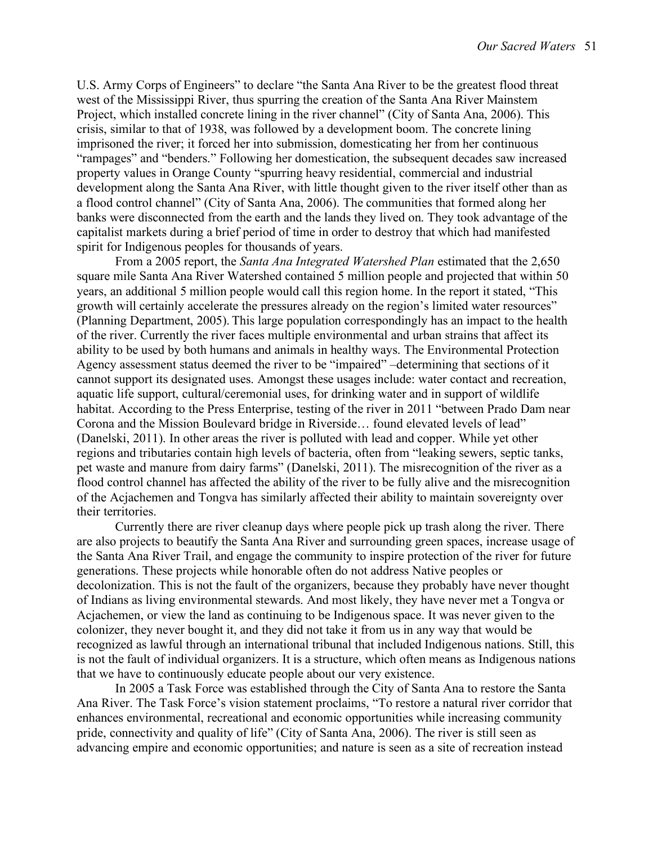U.S. Army Corps of Engineers" to declare "the Santa Ana River to be the greatest flood threat west of the Mississippi River, thus spurring the creation of the Santa Ana River Mainstem Project, which installed concrete lining in the river channel" (City of Santa Ana, 2006). This crisis, similar to that of 1938, was followed by a development boom. The concrete lining imprisoned the river; it forced her into submission, domesticating her from her continuous "rampages" and "benders." Following her domestication, the subsequent decades saw increased property values in Orange County "spurring heavy residential, commercial and industrial development along the Santa Ana River, with little thought given to the river itself other than as a flood control channel" (City of Santa Ana, 2006). The communities that formed along her banks were disconnected from the earth and the lands they lived on. They took advantage of the capitalist markets during a brief period of time in order to destroy that which had manifested spirit for Indigenous peoples for thousands of years.

From a 2005 report, the *Santa Ana Integrated Watershed Plan* estimated that the 2,650 square mile Santa Ana River Watershed contained 5 million people and projected that within 50 years, an additional 5 million people would call this region home. In the report it stated, "This growth will certainly accelerate the pressures already on the region's limited water resources" (Planning Department, 2005). This large population correspondingly has an impact to the health of the river. Currently the river faces multiple environmental and urban strains that affect its ability to be used by both humans and animals in healthy ways. The Environmental Protection Agency assessment status deemed the river to be "impaired" –determining that sections of it cannot support its designated uses. Amongst these usages include: water contact and recreation, aquatic life support, cultural/ceremonial uses, for drinking water and in support of wildlife habitat. According to the Press Enterprise, testing of the river in 2011 "between Prado Dam near Corona and the Mission Boulevard bridge in Riverside… found elevated levels of lead" (Danelski, 2011). In other areas the river is polluted with lead and copper. While yet other regions and tributaries contain high levels of bacteria, often from "leaking sewers, septic tanks, pet waste and manure from dairy farms" (Danelski, 2011). The misrecognition of the river as a flood control channel has affected the ability of the river to be fully alive and the misrecognition of the Acjachemen and Tongva has similarly affected their ability to maintain sovereignty over their territories.

Currently there are river cleanup days where people pick up trash along the river. There are also projects to beautify the Santa Ana River and surrounding green spaces, increase usage of the Santa Ana River Trail, and engage the community to inspire protection of the river for future generations. These projects while honorable often do not address Native peoples or decolonization. This is not the fault of the organizers, because they probably have never thought of Indians as living environmental stewards. And most likely, they have never met a Tongva or Acjachemen, or view the land as continuing to be Indigenous space. It was never given to the colonizer, they never bought it, and they did not take it from us in any way that would be recognized as lawful through an international tribunal that included Indigenous nations. Still, this is not the fault of individual organizers. It is a structure, which often means as Indigenous nations that we have to continuously educate people about our very existence.

In 2005 a Task Force was established through the City of Santa Ana to restore the Santa Ana River. The Task Force's vision statement proclaims, "To restore a natural river corridor that enhances environmental, recreational and economic opportunities while increasing community pride, connectivity and quality of life" (City of Santa Ana, 2006). The river is still seen as advancing empire and economic opportunities; and nature is seen as a site of recreation instead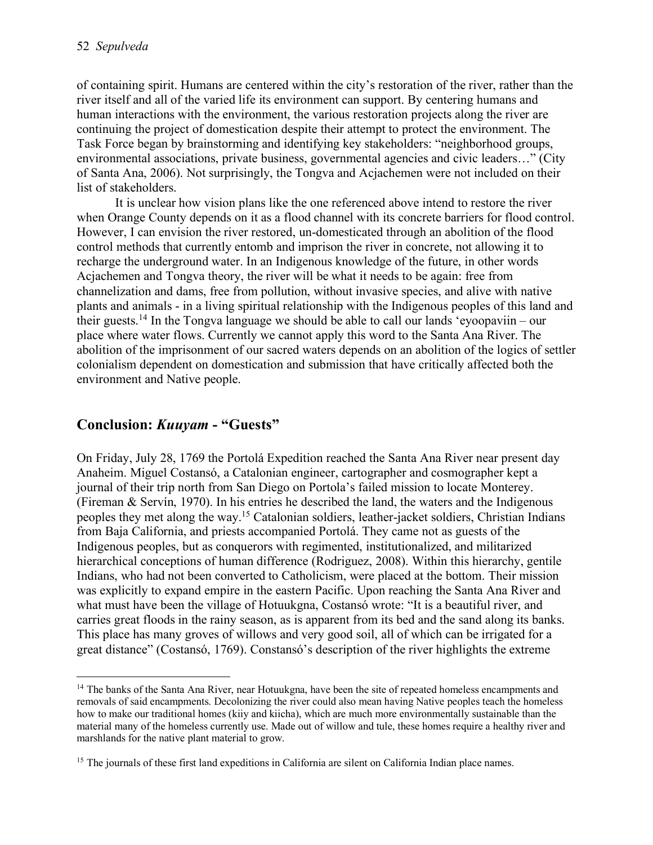of containing spirit. Humans are centered within the city's restoration of the river, rather than the river itself and all of the varied life its environment can support. By centering humans and human interactions with the environment, the various restoration projects along the river are continuing the project of domestication despite their attempt to protect the environment. The Task Force began by brainstorming and identifying key stakeholders: "neighborhood groups, environmental associations, private business, governmental agencies and civic leaders…" (City of Santa Ana, 2006). Not surprisingly, the Tongva and Acjachemen were not included on their list of stakeholders.

It is unclear how vision plans like the one referenced above intend to restore the river when Orange County depends on it as a flood channel with its concrete barriers for flood control. However, I can envision the river restored, un-domesticated through an abolition of the flood control methods that currently entomb and imprison the river in concrete, not allowing it to recharge the underground water. In an Indigenous knowledge of the future, in other words Acjachemen and Tongva theory, the river will be what it needs to be again: free from channelization and dams, free from pollution, without invasive species, and alive with native plants and animals - in a living spiritual relationship with the Indigenous peoples of this land and their guests.<sup>14</sup> In the Tongva language we should be able to call our lands 'evoopaviin – our place where water flows. Currently we cannot apply this word to the Santa Ana River. The abolition of the imprisonment of our sacred waters depends on an abolition of the logics of settler colonialism dependent on domestication and submission that have critically affected both the environment and Native people.

### **Conclusion:** *Kuuyam* **- "Guests"**

On Friday, July 28, 1769 the Portolá Expedition reached the Santa Ana River near present day Anaheim. Miguel Costansó, a Catalonian engineer, cartographer and cosmographer kept a journal of their trip north from San Diego on Portola's failed mission to locate Monterey. (Fireman & Servín, 1970). In his entries he described the land, the waters and the Indigenous peoples they met along the way.15 Catalonian soldiers, leather-jacket soldiers, Christian Indians from Baja California, and priests accompanied Portolá. They came not as guests of the Indigenous peoples, but as conquerors with regimented, institutionalized, and militarized hierarchical conceptions of human difference (Rodriguez, 2008). Within this hierarchy, gentile Indians, who had not been converted to Catholicism, were placed at the bottom. Their mission was explicitly to expand empire in the eastern Pacific. Upon reaching the Santa Ana River and what must have been the village of Hotuukgna, Costansó wrote: "It is a beautiful river, and carries great floods in the rainy season, as is apparent from its bed and the sand along its banks. This place has many groves of willows and very good soil, all of which can be irrigated for a great distance" (Costansó, 1769). Constansó's description of the river highlights the extreme

<sup>&</sup>lt;sup>14</sup> The banks of the Santa Ana River, near Hotuukgna, have been the site of repeated homeless encampments and removals of said encampments. Decolonizing the river could also mean having Native peoples teach the homeless how to make our traditional homes (kiiy and kiicha), which are much more environmentally sustainable than the material many of the homeless currently use. Made out of willow and tule, these homes require a healthy river and marshlands for the native plant material to grow.

<sup>&</sup>lt;sup>15</sup> The journals of these first land expeditions in California are silent on California Indian place names.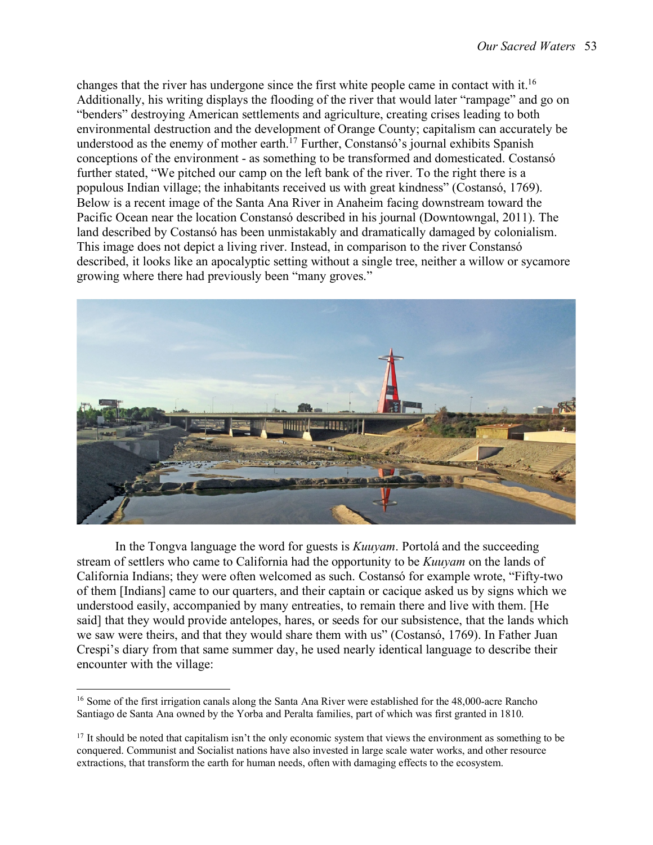changes that the river has undergone since the first white people came in contact with it.16 Additionally, his writing displays the flooding of the river that would later "rampage" and go on "benders" destroying American settlements and agriculture, creating crises leading to both environmental destruction and the development of Orange County; capitalism can accurately be understood as the enemy of mother earth.<sup>17</sup> Further, Constansó's journal exhibits Spanish conceptions of the environment - as something to be transformed and domesticated. Costansó further stated, "We pitched our camp on the left bank of the river. To the right there is a populous Indian village; the inhabitants received us with great kindness" (Costansó, 1769). Below is a recent image of the Santa Ana River in Anaheim facing downstream toward the Pacific Ocean near the location Constansó described in his journal (Downtowngal, 2011). The land described by Costansó has been unmistakably and dramatically damaged by colonialism. This image does not depict a living river. Instead, in comparison to the river Constansó described, it looks like an apocalyptic setting without a single tree, neither a willow or sycamore growing where there had previously been "many groves."



In the Tongva language the word for guests is *Kuuyam*. Portolá and the succeeding stream of settlers who came to California had the opportunity to be *Kuuyam* on the lands of California Indians; they were often welcomed as such. Costansó for example wrote, "Fifty-two of them [Indians] came to our quarters, and their captain or cacique asked us by signs which we understood easily, accompanied by many entreaties, to remain there and live with them. [He said] that they would provide antelopes, hares, or seeds for our subsistence, that the lands which we saw were theirs, and that they would share them with us" (Costansó, 1769). In Father Juan Crespi's diary from that same summer day, he used nearly identical language to describe their encounter with the village:

<sup>&</sup>lt;sup>16</sup> Some of the first irrigation canals along the Santa Ana River were established for the 48,000-acre Rancho Santiago de Santa Ana owned by the Yorba and Peralta families, part of which was first granted in 1810.

 $17$  It should be noted that capitalism isn't the only economic system that views the environment as something to be conquered. Communist and Socialist nations have also invested in large scale water works, and other resource extractions, that transform the earth for human needs, often with damaging effects to the ecosystem.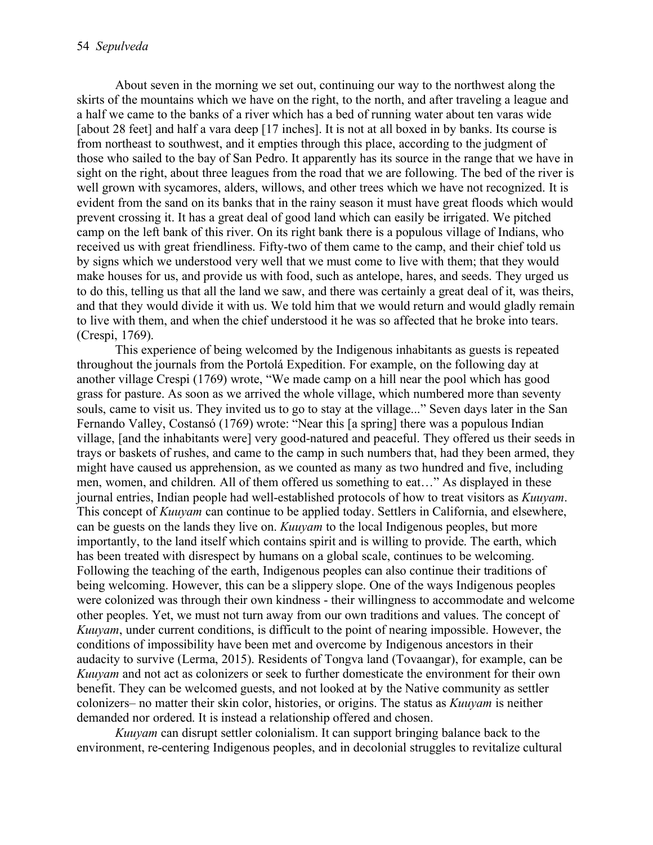About seven in the morning we set out, continuing our way to the northwest along the skirts of the mountains which we have on the right, to the north, and after traveling a league and a half we came to the banks of a river which has a bed of running water about ten varas wide [about 28 feet] and half a vara deep [17 inches]. It is not at all boxed in by banks. Its course is from northeast to southwest, and it empties through this place, according to the judgment of those who sailed to the bay of San Pedro. It apparently has its source in the range that we have in sight on the right, about three leagues from the road that we are following. The bed of the river is well grown with sycamores, alders, willows, and other trees which we have not recognized. It is evident from the sand on its banks that in the rainy season it must have great floods which would prevent crossing it. It has a great deal of good land which can easily be irrigated. We pitched camp on the left bank of this river. On its right bank there is a populous village of Indians, who received us with great friendliness. Fifty-two of them came to the camp, and their chief told us by signs which we understood very well that we must come to live with them; that they would make houses for us, and provide us with food, such as antelope, hares, and seeds. They urged us to do this, telling us that all the land we saw, and there was certainly a great deal of it, was theirs, and that they would divide it with us. We told him that we would return and would gladly remain to live with them, and when the chief understood it he was so affected that he broke into tears. (Crespi, 1769).

This experience of being welcomed by the Indigenous inhabitants as guests is repeated throughout the journals from the Portolá Expedition. For example, on the following day at another village Crespi (1769) wrote, "We made camp on a hill near the pool which has good grass for pasture. As soon as we arrived the whole village, which numbered more than seventy souls, came to visit us. They invited us to go to stay at the village..." Seven days later in the San Fernando Valley, Costansó (1769) wrote: "Near this [a spring] there was a populous Indian village, [and the inhabitants were] very good-natured and peaceful. They offered us their seeds in trays or baskets of rushes, and came to the camp in such numbers that, had they been armed, they might have caused us apprehension, as we counted as many as two hundred and five, including men, women, and children. All of them offered us something to eat…" As displayed in these journal entries, Indian people had well-established protocols of how to treat visitors as *Kuuyam*. This concept of *Kuuyam* can continue to be applied today. Settlers in California, and elsewhere, can be guests on the lands they live on. *Kuuyam* to the local Indigenous peoples, but more importantly, to the land itself which contains spirit and is willing to provide. The earth, which has been treated with disrespect by humans on a global scale, continues to be welcoming. Following the teaching of the earth, Indigenous peoples can also continue their traditions of being welcoming. However, this can be a slippery slope. One of the ways Indigenous peoples were colonized was through their own kindness - their willingness to accommodate and welcome other peoples. Yet, we must not turn away from our own traditions and values. The concept of *Kuuyam*, under current conditions, is difficult to the point of nearing impossible. However, the conditions of impossibility have been met and overcome by Indigenous ancestors in their audacity to survive (Lerma, 2015). Residents of Tongva land (Tovaangar), for example, can be *Kuuyam* and not act as colonizers or seek to further domesticate the environment for their own benefit. They can be welcomed guests, and not looked at by the Native community as settler colonizers– no matter their skin color, histories, or origins. The status as *Kuuyam* is neither demanded nor ordered. It is instead a relationship offered and chosen.

*Kuuyam* can disrupt settler colonialism. It can support bringing balance back to the environment, re-centering Indigenous peoples, and in decolonial struggles to revitalize cultural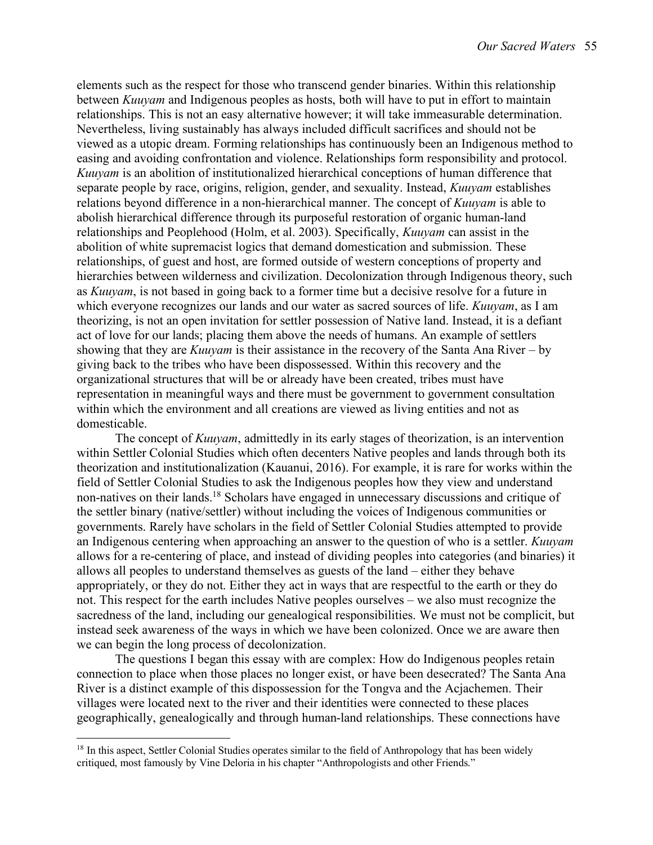elements such as the respect for those who transcend gender binaries. Within this relationship between *Kuuyam* and Indigenous peoples as hosts, both will have to put in effort to maintain relationships. This is not an easy alternative however; it will take immeasurable determination. Nevertheless, living sustainably has always included difficult sacrifices and should not be viewed as a utopic dream. Forming relationships has continuously been an Indigenous method to easing and avoiding confrontation and violence. Relationships form responsibility and protocol. *Kuuyam* is an abolition of institutionalized hierarchical conceptions of human difference that separate people by race, origins, religion, gender, and sexuality. Instead, *Kuuyam* establishes relations beyond difference in a non-hierarchical manner. The concept of *Kuuyam* is able to abolish hierarchical difference through its purposeful restoration of organic human-land relationships and Peoplehood (Holm, et al. 2003). Specifically, *Kuuyam* can assist in the abolition of white supremacist logics that demand domestication and submission. These relationships, of guest and host, are formed outside of western conceptions of property and hierarchies between wilderness and civilization. Decolonization through Indigenous theory, such as *Kuuyam*, is not based in going back to a former time but a decisive resolve for a future in which everyone recognizes our lands and our water as sacred sources of life. *Kuuyam*, as I am theorizing, is not an open invitation for settler possession of Native land. Instead, it is a defiant act of love for our lands; placing them above the needs of humans. An example of settlers showing that they are *Kuuyam* is their assistance in the recovery of the Santa Ana River – by giving back to the tribes who have been dispossessed. Within this recovery and the organizational structures that will be or already have been created, tribes must have representation in meaningful ways and there must be government to government consultation within which the environment and all creations are viewed as living entities and not as domesticable.

The concept of *Kuuyam*, admittedly in its early stages of theorization, is an intervention within Settler Colonial Studies which often decenters Native peoples and lands through both its theorization and institutionalization (Kauanui, 2016). For example, it is rare for works within the field of Settler Colonial Studies to ask the Indigenous peoples how they view and understand non-natives on their lands.18 Scholars have engaged in unnecessary discussions and critique of the settler binary (native/settler) without including the voices of Indigenous communities or governments. Rarely have scholars in the field of Settler Colonial Studies attempted to provide an Indigenous centering when approaching an answer to the question of who is a settler. *Kuuyam* allows for a re-centering of place, and instead of dividing peoples into categories (and binaries) it allows all peoples to understand themselves as guests of the land – either they behave appropriately, or they do not. Either they act in ways that are respectful to the earth or they do not. This respect for the earth includes Native peoples ourselves – we also must recognize the sacredness of the land, including our genealogical responsibilities. We must not be complicit, but instead seek awareness of the ways in which we have been colonized. Once we are aware then we can begin the long process of decolonization.

The questions I began this essay with are complex: How do Indigenous peoples retain connection to place when those places no longer exist, or have been desecrated? The Santa Ana River is a distinct example of this dispossession for the Tongva and the Acjachemen. Their villages were located next to the river and their identities were connected to these places geographically, genealogically and through human-land relationships. These connections have

<sup>&</sup>lt;sup>18</sup> In this aspect, Settler Colonial Studies operates similar to the field of Anthropology that has been widely critiqued, most famously by Vine Deloria in his chapter "Anthropologists and other Friends."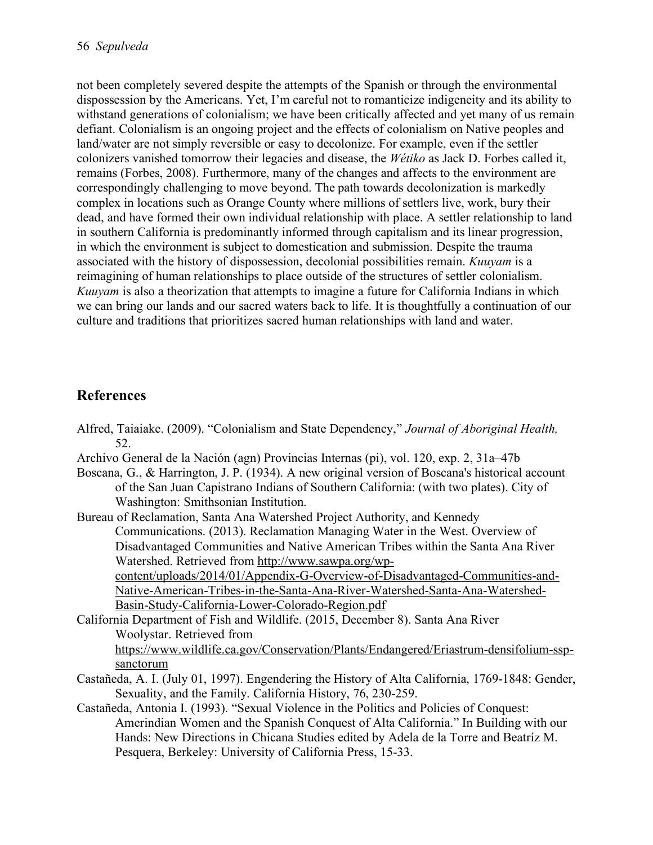not been completely severed despite the attempts of the Spanish or through the environmental dispossession by the Americans. Yet, I'm careful not to romanticize indigeneity and its ability to withstand generations of colonialism; we have been critically affected and yet many of us remain defiant. Colonialism is an ongoing project and the effects of colonialism on Native peoples and land/water are not simply reversible or easy to decolonize. For example, even if the settler colonizers vanished tomorrow their legacies and disease, the *Wétiko* as Jack D. Forbes called it, remains (Forbes, 2008). Furthermore, many of the changes and affects to the environment are correspondingly challenging to move beyond. The path towards decolonization is markedly complex in locations such as Orange County where millions of settlers live, work, bury their dead, and have formed their own individual relationship with place. A settler relationship to land in southern California is predominantly informed through capitalism and its linear progression, in which the environment is subject to domestication and submission. Despite the trauma associated with the history of dispossession, decolonial possibilities remain. *Kuuyam* is a reimagining of human relationships to place outside of the structures of settler colonialism. *Kuuyam* is also a theorization that attempts to imagine a future for California Indians in which we can bring our lands and our sacred waters back to life. It is thoughtfully a continuation of our culture and traditions that prioritizes sacred human relationships with land and water.

## **References**

- Alfred, Taiaiake. (2009). "Colonialism and State Dependency," *Journal of Aboriginal Health,*  52.
- Archivo General de la Nación (agn) Provincias Internas (pi), vol. 120, exp. 2, 31a–47b
- Boscana, G., & Harrington, J. P. (1934). A new original version of Boscana's historical account of the San Juan Capistrano Indians of Southern California: (with two plates). City of Washington: Smithsonian Institution.
- Bureau of Reclamation, Santa Ana Watershed Project Authority, and Kennedy Communications. (2013). Reclamation Managing Water in the West. Overview of Disadvantaged Communities and Native American Tribes within the Santa Ana River Watershed. Retrieved from http://www.sawpa.org/wpcontent/uploads/2014/01/Appendix-G-Overview-of-Disadvantaged-Communities-and-

Native-American-Tribes-in-the-Santa-Ana-River-Watershed-Santa-Ana-Watershed-Basin-Study-California-Lower-Colorado-Region.pdf

- California Department of Fish and Wildlife. (2015, December 8). Santa Ana River Woolystar. Retrieved from https://www.wildlife.ca.gov/Conservation/Plants/Endangered/Eriastrum-densifolium-sspsanctorum
- Castañeda, A. I. (July 01, 1997). Engendering the History of Alta California, 1769-1848: Gender, Sexuality, and the Family. California History, 76, 230-259.
- Castañeda, Antonia I. (1993). "Sexual Violence in the Politics and Policies of Conquest: Amerindian Women and the Spanish Conquest of Alta California." In Building with our Hands: New Directions in Chicana Studies edited by Adela de la Torre and Beatríz M. Pesquera, Berkeley: University of California Press, 15-33.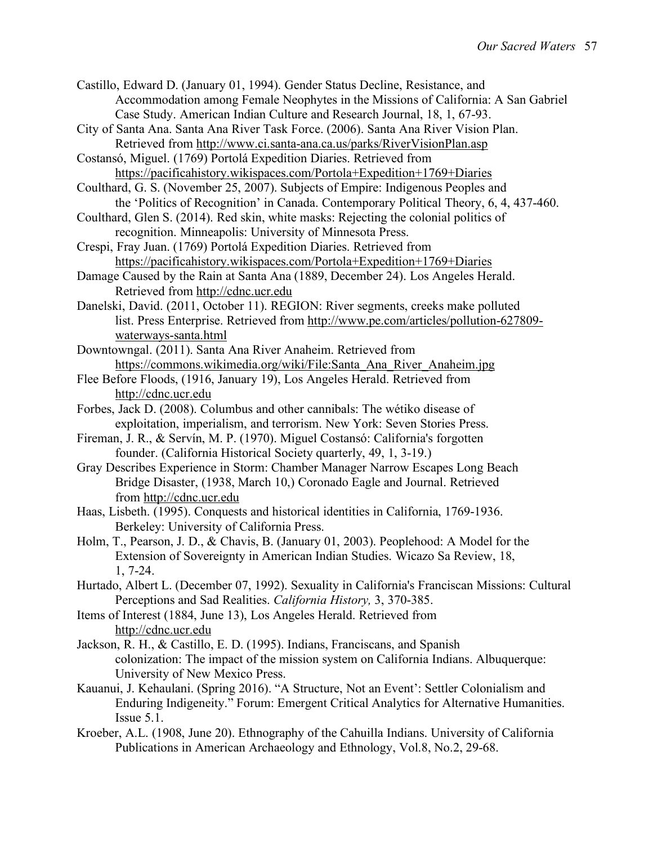- Castillo, Edward D. (January 01, 1994). Gender Status Decline, Resistance, and Accommodation among Female Neophytes in the Missions of California: A San Gabriel Case Study. American Indian Culture and Research Journal, 18, 1, 67-93.
- City of Santa Ana. Santa Ana River Task Force. (2006). Santa Ana River Vision Plan. Retrieved from http://www.ci.santa-ana.ca.us/parks/RiverVisionPlan.asp
- Costansó, Miguel. (1769) Portolá Expedition Diaries. Retrieved from https://pacificahistory.wikispaces.com/Portola+Expedition+1769+Diaries
- Coulthard, G. S. (November 25, 2007). Subjects of Empire: Indigenous Peoples and the 'Politics of Recognition' in Canada. Contemporary Political Theory, 6, 4, 437-460.
- Coulthard, Glen S. (2014). Red skin, white masks: Rejecting the colonial politics of recognition. Minneapolis: University of Minnesota Press.
- Crespi, Fray Juan. (1769) Portolá Expedition Diaries. Retrieved from https://pacificahistory.wikispaces.com/Portola+Expedition+1769+Diaries
- Damage Caused by the Rain at Santa Ana (1889, December 24). Los Angeles Herald. Retrieved from http://cdnc.ucr.edu
- Danelski, David. (2011, October 11). REGION: River segments, creeks make polluted list. Press Enterprise. Retrieved from http://www.pe.com/articles/pollution-627809 waterways-santa.html
- Downtowngal. (2011). Santa Ana River Anaheim. Retrieved from https://commons.wikimedia.org/wiki/File:Santa\_Ana\_River\_Anaheim.jpg
- Flee Before Floods, (1916, January 19), Los Angeles Herald. Retrieved from http://cdnc.ucr.edu
- Forbes, Jack D. (2008). Columbus and other cannibals: The wétiko disease of exploitation, imperialism, and terrorism. New York: Seven Stories Press.
- Fireman, J. R., & Servín, M. P. (1970). Miguel Costansó: California's forgotten founder. (California Historical Society quarterly, 49, 1, 3-19.)
- Gray Describes Experience in Storm: Chamber Manager Narrow Escapes Long Beach Bridge Disaster, (1938, March 10,) Coronado Eagle and Journal. Retrieved from http://cdnc.ucr.edu
- Haas, Lisbeth. (1995). Conquests and historical identities in California, 1769-1936. Berkeley: University of California Press.
- Holm, T., Pearson, J. D., & Chavis, B. (January 01, 2003). Peoplehood: A Model for the Extension of Sovereignty in American Indian Studies. Wicazo Sa Review, 18, 1, 7-24.
- Hurtado, Albert L. (December 07, 1992). Sexuality in California's Franciscan Missions: Cultural Perceptions and Sad Realities. *California History,* 3, 370-385.
- Items of Interest (1884, June 13), Los Angeles Herald. Retrieved from http://cdnc.ucr.edu
- Jackson, R. H., & Castillo, E. D. (1995). Indians, Franciscans, and Spanish colonization: The impact of the mission system on California Indians. Albuquerque: University of New Mexico Press.
- Kauanui, J. Kehaulani. (Spring 2016). "A Structure, Not an Event': Settler Colonialism and Enduring Indigeneity." Forum: Emergent Critical Analytics for Alternative Humanities. Issue 5.1.
- Kroeber, A.L. (1908, June 20). Ethnography of the Cahuilla Indians. University of California Publications in American Archaeology and Ethnology, Vol.8, No.2, 29-68.